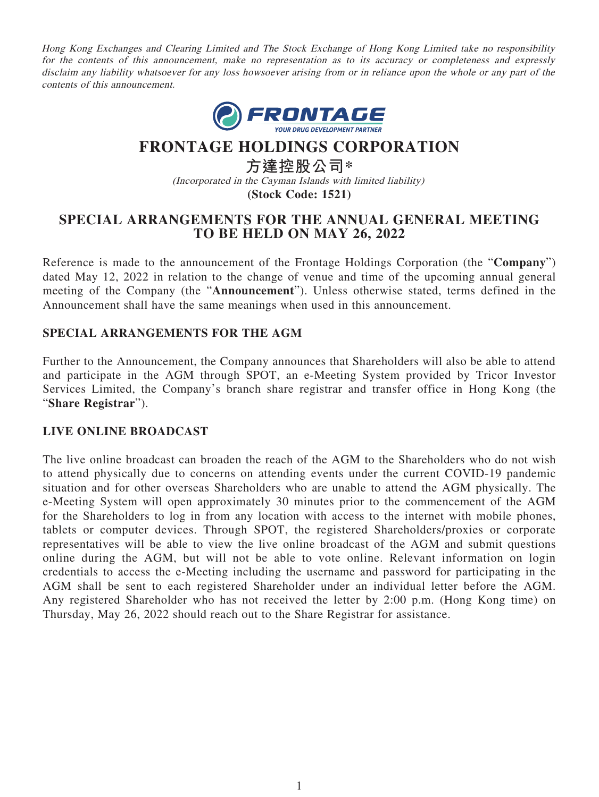Hong Kong Exchanges and Clearing Limited and The Stock Exchange of Hong Kong Limited take no responsibility for the contents of this announcement, make no representation as to its accuracy or completeness and expressly disclaim any liability whatsoever for any loss howsoever arising from or in reliance upon the whole or any part of the contents of this announcement.



# **FRONTAGE HOLDINGS CORPORATION**

**方達控股公司\*** (Incorporated in the Cayman Islands with limited liability) **(Stock Code: 1521)**

## **SPECIAL ARRANGEMENTS FOR THE ANNUAL GENERAL MEETING TO BE HELD ON MAY 26, 2022**

Reference is made to the announcement of the Frontage Holdings Corporation (the "**Company**") dated May 12, 2022 in relation to the change of venue and time of the upcoming annual general meeting of the Company (the "**Announcement**"). Unless otherwise stated, terms defined in the Announcement shall have the same meanings when used in this announcement.

### **SPECIAL ARRANGEMENTS FOR THE AGM**

Further to the Announcement, the Company announces that Shareholders will also be able to attend and participate in the AGM through SPOT, an e-Meeting System provided by Tricor Investor Services Limited, the Company's branch share registrar and transfer office in Hong Kong (the "**Share Registrar**").

#### **LIVE ONLINE BROADCAST**

The live online broadcast can broaden the reach of the AGM to the Shareholders who do not wish to attend physically due to concerns on attending events under the current COVID-19 pandemic situation and for other overseas Shareholders who are unable to attend the AGM physically. The e-Meeting System will open approximately 30 minutes prior to the commencement of the AGM for the Shareholders to log in from any location with access to the internet with mobile phones, tablets or computer devices. Through SPOT, the registered Shareholders/proxies or corporate representatives will be able to view the live online broadcast of the AGM and submit questions online during the AGM, but will not be able to vote online. Relevant information on login credentials to access the e-Meeting including the username and password for participating in the AGM shall be sent to each registered Shareholder under an individual letter before the AGM. Any registered Shareholder who has not received the letter by 2:00 p.m. (Hong Kong time) on Thursday, May 26, 2022 should reach out to the Share Registrar for assistance.